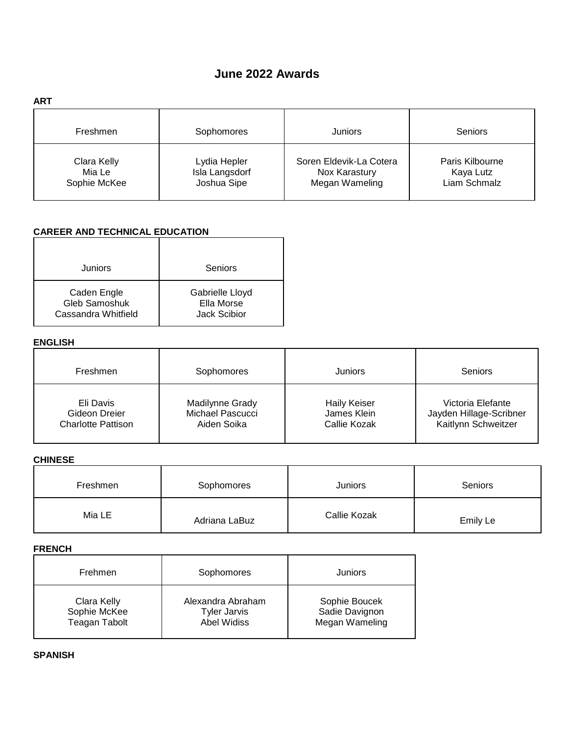# **June 2022 Awards**

| <b>ART</b>                            |                                               |                                                            |                                              |
|---------------------------------------|-----------------------------------------------|------------------------------------------------------------|----------------------------------------------|
| Freshmen                              | Sophomores                                    | Juniors                                                    | Seniors                                      |
| Clara Kelly<br>Mia Le<br>Sophie McKee | Lydia Hepler<br>Isla Langsdorf<br>Joshua Sipe | Soren Eldevik-La Cotera<br>Nox Karastury<br>Megan Wameling | Paris Kilbourne<br>Kaya Lutz<br>Liam Schmalz |

# **CAREER AND TECHNICAL EDUCATION**

| Juniors                                             | Seniors                                       |
|-----------------------------------------------------|-----------------------------------------------|
| Caden Engle<br>Gleb Samoshuk<br>Cassandra Whitfield | Gabrielle Lloyd<br>Ella Morse<br>Jack Scibior |

### **ENGLISH**

| Freshmen                  | Sophomores       | <b>Juniors</b>      | Seniors                 |
|---------------------------|------------------|---------------------|-------------------------|
| Eli Davis                 | Madilynne Grady  | <b>Haily Keiser</b> | Victoria Elefante       |
| Gideon Dreier             | Michael Pascucci | James Klein         | Jayden Hillage-Scribner |
| <b>Charlotte Pattison</b> | Aiden Soika      | Callie Kozak        | Kaitlynn Schweitzer     |

### **CHINESE**

| Freshmen | Sophomores    | Juniors      | <b>Seniors</b> |
|----------|---------------|--------------|----------------|
| Mia LE   | Adriana LaBuz | Callie Kozak | Emily Le       |

#### **FRENCH**

| Frehmen              | Sophomores          | Juniors        |
|----------------------|---------------------|----------------|
| Clara Kelly          | Alexandra Abraham   | Sophie Boucek  |
| Sophie McKee         | <b>Tyler Jarvis</b> | Sadie Davignon |
| <b>Teagan Tabolt</b> | Abel Widiss         | Megan Wameling |

**SPANISH**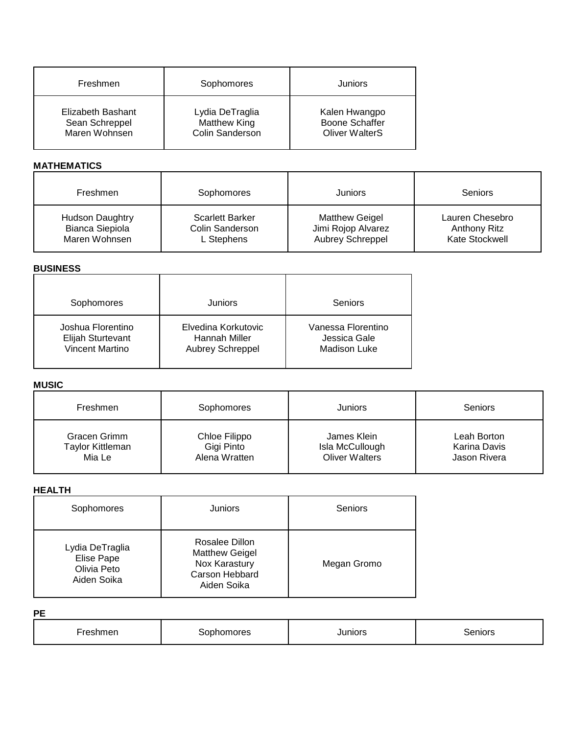| Freshmen          | Sophomores             | Juniors               |
|-------------------|------------------------|-----------------------|
| Elizabeth Bashant | Lydia DeTraglia        | Kalen Hwangpo         |
| Sean Schreppel    | Matthew King           | <b>Boone Schaffer</b> |
| Maren Wohnsen     | <b>Colin Sanderson</b> | <b>Oliver WalterS</b> |

# **MATHEMATICS**

| Freshmen               | Sophomores             | Juniors                 | Seniors         |
|------------------------|------------------------|-------------------------|-----------------|
| <b>Hudson Daughtry</b> | <b>Scarlett Barker</b> | <b>Matthew Geigel</b>   | Lauren Chesebro |
| <b>Bianca Siepiola</b> | Colin Sanderson        | Jimi Rojop Alvarez      | Anthony Ritz    |
| Maren Wohnsen          | L Stephens             | <b>Aubrey Schreppel</b> | Kate Stockwell  |

### **BUSINESS**

| Sophomores             | Juniors                 | Seniors            |
|------------------------|-------------------------|--------------------|
| Joshua Florentino      | Elvedina Korkutovic     | Vanessa Florentino |
| Elijah Sturtevant      | Hannah Miller           | Jessica Gale       |
| <b>Vincent Martino</b> | <b>Aubrey Schreppel</b> | Madison Luke       |

# **MUSIC**

| Freshmen                | Sophomores    | Juniors               | <b>Seniors</b> |
|-------------------------|---------------|-----------------------|----------------|
| Gracen Grimm            | Chloe Filippo | James Klein           | Leah Borton    |
| <b>Taylor Kittleman</b> | Gigi Pinto    | Isla McCullough       | Karina Davis   |
| Mia Le                  | Alena Wratten | <b>Oliver Walters</b> | Jason Rivera   |

### **HEALTH**

| Sophomores                                                  | <b>Juniors</b>                                                                            | Seniors     |
|-------------------------------------------------------------|-------------------------------------------------------------------------------------------|-------------|
| Lydia DeTraglia<br>Elise Pape<br>Olivia Peto<br>Aiden Soika | Rosalee Dillon<br><b>Matthew Geigel</b><br>Nox Karastury<br>Carson Hebbard<br>Aiden Soika | Megan Gromo |

**PE**

| <b>STATISTICS</b><br>_<br>51 11 1 1 <b>1 2</b> 1<br>$\ddot{\phantom{a}}$ | טו פש<br>. | Junior <sup>-</sup> | $ -$<br>senic<br>____ |
|--------------------------------------------------------------------------|------------|---------------------|-----------------------|
|                                                                          |            |                     |                       |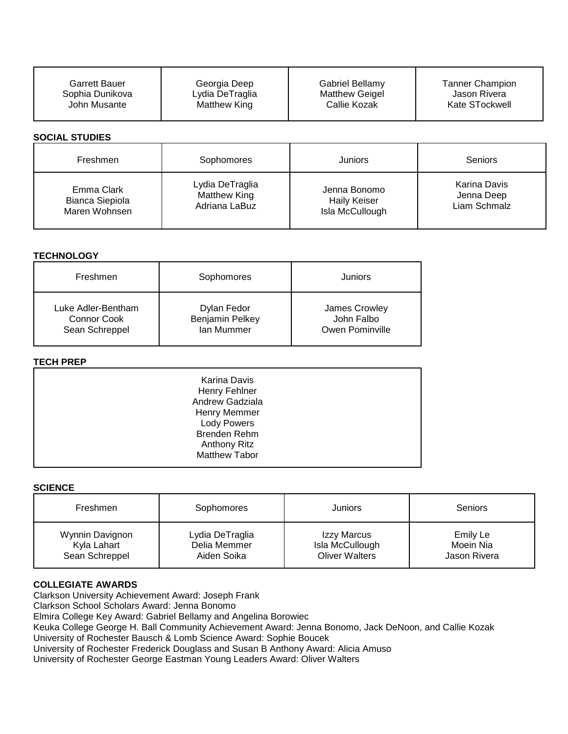| <b>Garrett Bauer</b>  | Georgia Deep    | Gabriel Bellamy       | <b>Tanner Champion</b> |
|-----------------------|-----------------|-----------------------|------------------------|
| Sophia Dunikova       | Lydia DeTraglia | <b>Matthew Geigel</b> | Jason Rivera           |
| John Musante          | Matthew King    | Callie Kozak          | Kate STockwell         |
| <b>SOCIAL STUDIES</b> |                 |                       |                        |
| Freshmen              | Sophomores      | Juniors               | <b>Seniors</b>         |
| Emma Clark            | Lydia DeTraglia | Jenna Bonomo          | Karina Davis           |
| Bianca Siepiola       | Matthew King    | <b>Haily Keiser</b>   | Jenna Deep             |
| Maren Wohnsen         | Adriana LaBuz   | Isla McCullough       | Liam Schmalz           |

### **TECHNOLOGY**

| Freshmen           | Sophomores      | Juniors         |
|--------------------|-----------------|-----------------|
| Luke Adler-Bentham | Dylan Fedor     | James Crowley   |
| Connor Cook        | Benjamin Pelkey | John Falbo      |
| Sean Schreppel     | Ian Mummer      | Owen Pominville |

### **TECH PREP**

| Karina Davis         |  |
|----------------------|--|
|                      |  |
| Henry Fehlner        |  |
| Andrew Gadziala      |  |
| Henry Memmer         |  |
| <b>Lody Powers</b>   |  |
| Brenden Rehm         |  |
| Anthony Ritz         |  |
| <b>Matthew Tabor</b> |  |
|                      |  |

#### **SCIENCE**

| Freshmen        | Sophomores      | Juniors               | Seniors      |
|-----------------|-----------------|-----------------------|--------------|
| Wynnin Davignon | Lydia DeTraglia | Izzy Marcus           | Emily Le     |
| Kyla Lahart     | Delia Memmer    | Isla McCullough       | Moein Nia    |
| Sean Schreppel  | Aiden Soika     | <b>Oliver Walters</b> | Jason Rivera |

### **COLLEGIATE AWARDS**

Clarkson University Achievement Award: Joseph Frank

Clarkson School Scholars Award: Jenna Bonomo

Elmira College Key Award: Gabriel Bellamy and Angelina Borowiec

Keuka College George H. Ball Community Achievement Award: Jenna Bonomo, Jack DeNoon, and Callie Kozak University of Rochester Bausch & Lomb Science Award: Sophie Boucek

University of Rochester Frederick Douglass and Susan B Anthony Award: Alicia Amuso

University of Rochester George Eastman Young Leaders Award: Oliver Walters